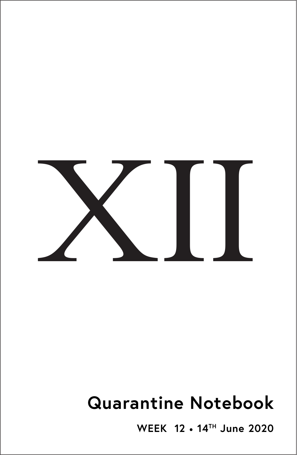

# **Quarantine Notebook**

**WEEK 12** • **14TH June 2020**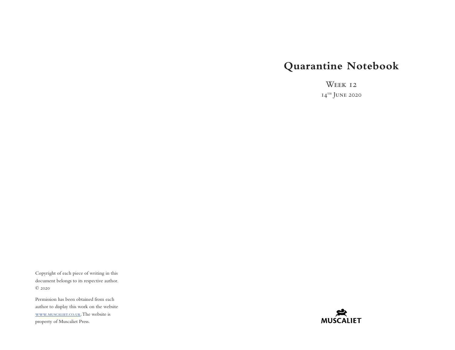## **Quarantine Notebook**

WEEK <sub>12</sub>  $I4^{TH}$  JUNE 2020

Copyright of each piece of writing in this document belongs to its respective author. © 2020

Permission has been obtained from each author to display this work on the website [www.muscaliet.co.uk.](https://www.muscaliet.co.uk) The website is property of Muscaliet Press.

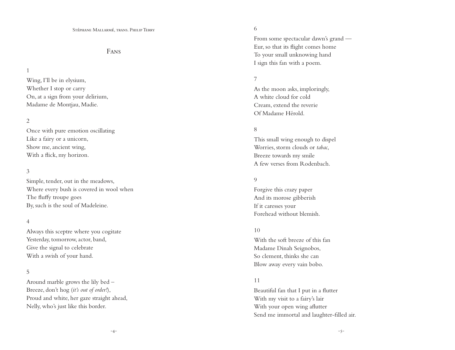## Fans

#### 1

Wing, I'll be in elysium, Whether I stop or carry On, at a sign from your delirium, Madame de Montjau, Madie.

## 2

Once with pure emotion oscillating Like a fairy or a unicorn, Show me, ancient wing, With a flick, my horizon.

## 3

Simple, tender, out in the meadows, Where every bush is covered in wool when The fluffy troupe goes By, such is the soul of Madeleine.

#### 4

Always this sceptre where you cogitate Yesterday, tomorrow, actor, band, Give the signal to celebrate With a swish of your hand.

## 5

Around marble grows the lily bed – Breeze, don't hog (*it's out of order!*), Proud and white, her gaze straight ahead, Nelly, who's just like this border.

## 6

From some spectacular dawn's grand — Eur, so that its flight comes home To your small unknowing hand I sign this fan with a poem.

## 7

As the moon asks, imploringly, A white cloud for cold Cream, extend the reverie Of Madame Hérold.

## 8

This small wing enough to dispel Worries, storm clouds or *tabac*, Breeze towards my smile A few verses from Rodenbach.

## 9

Forgive this crazy paper And its morose gibberish If it caresses your Forehead without blemish.

#### 10

With the soft breeze of this fan Madame Dinah Seignobos, So clement, thinks she can Blow away every vain bobo.

#### 11

Beautiful fan that I put in a flutter With my visit to a fairy's lair With your open wing aflutter Send me immortal and laughter-filled air.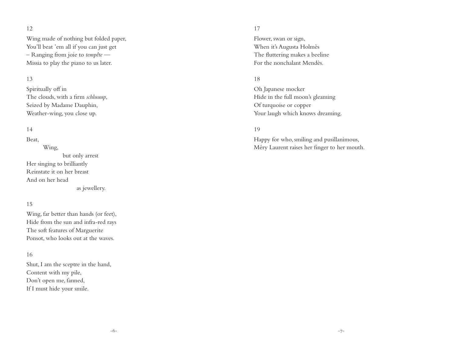## 12

Wing made of nothing but folded paper, You'll beat 'em all if you can just get – Ranging from joie to *tempête* — Missia to play the piano to us later.

## 13

Spiritually off in The clouds, with a firm *schluuup*, Seized by Madame Dauphin, Weather-wing, you close up.

## 14

Beat,

 Wing, but only arrest Her singing to brilliantly Reinstate it on her breast And on her head as jewellery.

#### 15

Wing, far better than hands (or feet), Hide from the sun and infra-red rays The soft features of Marguerite Ponsot, who looks out at the waves.

#### 16

Shut, I am the sceptre in the hand, Content with my pile, Don't open me, fanned, If I must hide your smile.

## 17

Flower, swan or sign, When it's Augusta Holmès The fluttering makes a beeline For the nonchalant Mendès.

## 18

Oh Japanese mocker Hide in the full moon's gleaming Of turquoise or copper Your laugh which knows dreaming.

## 19

Happy for who, smiling and pusillanimous, Méry Laurent raises her finger to her mouth.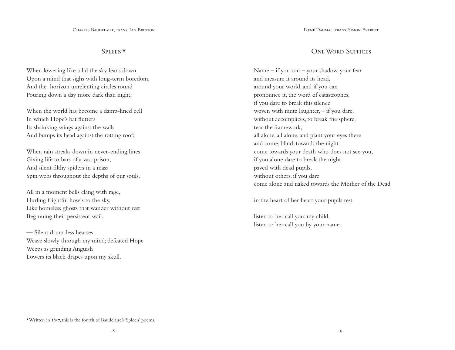## Spleen\*

When lowering like a lid the sky leans down Upon a mind that sighs with long-term boredom, And the horizon unrelenting circles round Pouring down a day more dark than night;

When the world has become a damp-lined cell In which Hope's bat flutters Its shrinking wings against the walls And bumps its head against the rotting roof;

When rain streaks down in never-ending lines Giving life to bars of a vast prison, And silent filthy spiders in a mass Spin webs throughout the depths of our souls,

All in a moment bells clang with rage, Hurling frightful howls to the sky, Like homeless ghosts that wander without rest Beginning their persistent wail.

— Silent drum-less hearses Weave slowly through my mind; defeated Hope Weeps as grinding Anguish Lowers its black drapes upon my skull.

## ONE WORD SUFFICES

Name – if you can – your shadow, your fear and measure it around its head, around your world, and if you can pronounce it, the word of catastrophes, if you dare to break this silence woven with mute laughter, – if you dare, without accomplices, to break the sphere, tear the framework, all alone, all alone, and plant your eyes there and come, blind, towards the night come towards your death who does not see you, if you alone dare to break the night paved with dead pupils, without others, if you dare come alone and naked towards the Mother of the Dead

in the heart of her heart your pupils rest

listen to her call you: my child, listen to her call you by your name.

\*Written in 1857, this is the fourth of Baudelaire's 'Spleen' poems.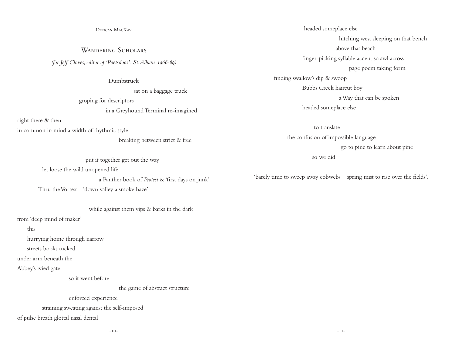#### Duncan MacKay

WANDERING SCHOLARS *(for Jeff Cloves, editor of 'Poetsdoos', St.Albans 1966-69)*

#### Dumbstruck

 sat on a baggage truck groping for descriptors in a Greyhound Terminal re-imagined

right there & then

in common in mind a width of rhythmic style

breaking between strict & free

put it together get out the way

let loose the wild unopened life

a Panther book of *Protest* & 'first days on junk'

Thru the Vortex 'down valley a smoke haze'

## while against them yips & barks in the dark

from 'deep mind of maker'

this

hurrying home through narrow

streets books tucked

under arm beneath the

Abbey's ivied gate

so it went before

the game of abstract structure

enforced experience

straining sweating against the self-imposed

of pulse breath glottal nasal dental

 headed someplace else hitching west sleeping on that bench above that beach finger-picking syllable accent scrawl across page poem taking form finding swallow's dip & swoop Bubbs Creek haircut boy a Way that can be spoken

headed someplace else

 to translate the confusion of impossible language go to pine to learn about pine so we did

'barely time to sweep away cobwebs spring mist to rise over the fields'.